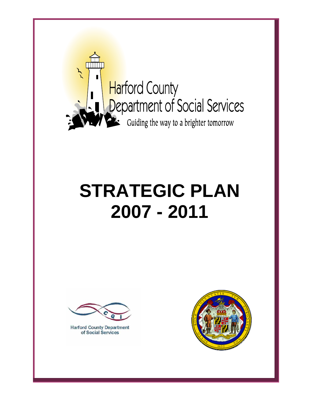

# **STRATEGIC PLAN 2007 - 2011**



**Harford County Department** of Social Services

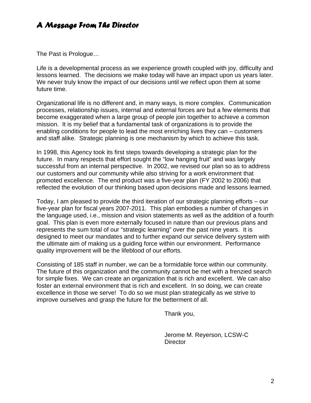# *A Message From The Director*

The Past is Prologue…

Life is a developmental process as we experience growth coupled with joy, difficulty and lessons learned. The decisions we make today will have an impact upon us years later. We never truly know the impact of our decisions until we reflect upon them at some future time.

Organizational life is no different and, in many ways, is more complex. Communication processes, relationship issues, internal and external forces are but a few elements that become exaggerated when a large group of people join together to achieve a common mission. It is my belief that a fundamental task of organizations is to provide the enabling conditions for people to lead the most enriching lives they can – customers and staff alike. Strategic planning is one mechanism by which to achieve this task.

In 1998, this Agency took its first steps towards developing a strategic plan for the future. In many respects that effort sought the "low hanging fruit" and was largely successful from an internal perspective. In 2002, we revised our plan so as to address our customers and our community while also striving for a work environment that promoted excellence. The end product was a five-year plan (FY 2002 to 2006) that reflected the evolution of our thinking based upon decisions made and lessons learned.

Today, I am pleased to provide the third iteration of our strategic planning efforts – our five-year plan for fiscal years 2007-2011. This plan embodies a number of changes in the language used, i.e., mission and vision statements as well as the addition of a fourth goal. This plan is even more externally focused in nature than our previous plans and represents the sum total of our "strategic learning" over the past nine years. It is designed to meet our mandates and to further expand our service delivery system with the ultimate aim of making us a guiding force within our environment. Performance quality improvement will be the lifeblood of our efforts.

Consisting of 185 staff in number, we can be a formidable force within our community. The future of this organization and the community cannot be met with a frenzied search for simple fixes. We can create an organization that is rich and excellent. We can also foster an external environment that is rich and excellent. In so doing, we can create excellence in those we serve! To do so we must plan strategically as we strive to improve ourselves and grasp the future for the betterment of all.

Thank you,

 Jerome M. Reyerson, LCSW-C Director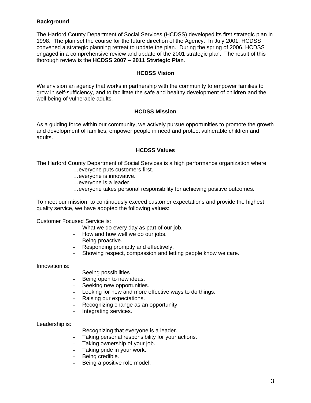# **Background**

The Harford County Department of Social Services (HCDSS) developed its first strategic plan in 1998. The plan set the course for the future direction of the Agency. In July 2001, HCDSS convened a strategic planning retreat to update the plan. During the spring of 2006, HCDSS engaged in a comprehensive review and update of the 2001 strategic plan. The result of this thorough review is the **HCDSS 2007 – 2011 Strategic Plan**.

# **HCDSS Vision**

We envision an agency that works in partnership with the community to empower families to grow in self-sufficiency, and to facilitate the safe and healthy development of children and the well being of vulnerable adults.

# **HCDSS Mission**

As a guiding force within our community, we actively pursue opportunities to promote the growth and development of families, empower people in need and protect vulnerable children and adults.

## **HCDSS Values**

The Harford County Department of Social Services is a high performance organization where:

- …everyone puts customers first.
- …everyone is innovative.
- …everyone is a leader.
- …everyone takes personal responsibility for achieving positive outcomes.

To meet our mission, to continuously exceed customer expectations and provide the highest quality service, we have adopted the following values:

Customer Focused Service is:

- What we do every day as part of our job.
- How and how well we do our jobs.
- Being proactive.
- Responding promptly and effectively.
- Showing respect, compassion and letting people know we care.

Innovation is:

- Seeing possibilities
- Being open to new ideas.
- Seeking new opportunities.
- Looking for new and more effective ways to do things.
- Raising our expectations.
- Recognizing change as an opportunity.
- Integrating services.

Leadership is:

- Recognizing that everyone is a leader.
- Taking personal responsibility for your actions.
- Taking ownership of your job.
- Taking pride in your work.
- Being credible.
- Being a positive role model.